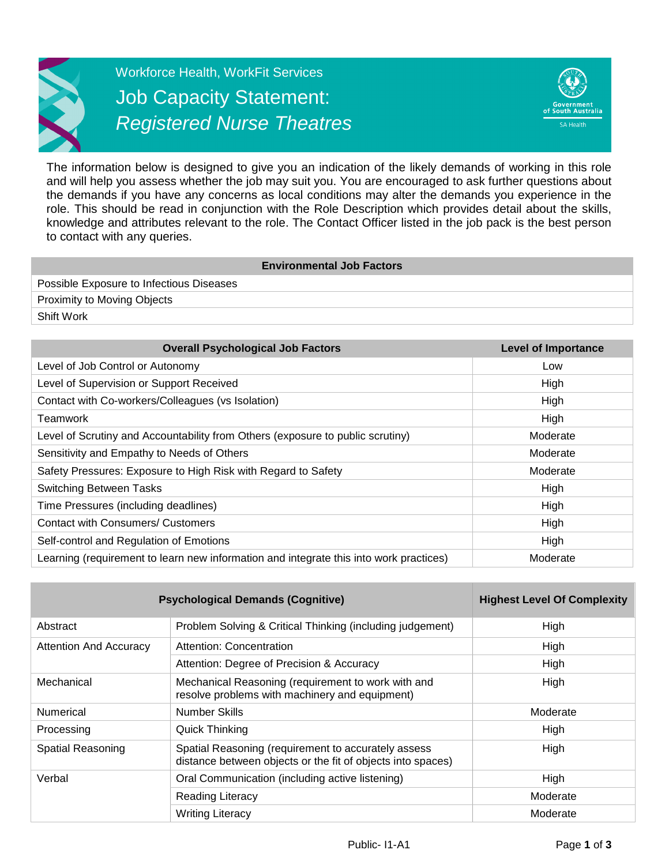

Workforce Health, WorkFit Services Job Capacity Statement: *Registered Nurse Theatres*



The information below is designed to give you an indication of the likely demands of working in this role and will help you assess whether the job may suit you. You are encouraged to ask further questions about the demands if you have any concerns as local conditions may alter the demands you experience in the role. This should be read in conjunction with the Role Description which provides detail about the skills, knowledge and attributes relevant to the role. The Contact Officer listed in the job pack is the best person to contact with any queries.

| <b>Environmental Job Factors</b>         |  |
|------------------------------------------|--|
| Possible Exposure to Infectious Diseases |  |
| <b>Proximity to Moving Objects</b>       |  |
| Shift Work                               |  |

| <b>Overall Psychological Job Factors</b>                                               | <b>Level of Importance</b> |
|----------------------------------------------------------------------------------------|----------------------------|
| Level of Job Control or Autonomy                                                       | Low                        |
| Level of Supervision or Support Received                                               | High                       |
| Contact with Co-workers/Colleagues (vs Isolation)                                      | <b>High</b>                |
| Teamwork                                                                               | High                       |
| Level of Scrutiny and Accountability from Others (exposure to public scrutiny)         | Moderate                   |
| Sensitivity and Empathy to Needs of Others                                             | Moderate                   |
| Safety Pressures: Exposure to High Risk with Regard to Safety                          | Moderate                   |
| <b>Switching Between Tasks</b>                                                         | High                       |
| Time Pressures (including deadlines)                                                   | High                       |
| <b>Contact with Consumers/ Customers</b>                                               | High                       |
| Self-control and Regulation of Emotions                                                | High                       |
| Learning (requirement to learn new information and integrate this into work practices) | Moderate                   |

| <b>Psychological Demands (Cognitive)</b> | <b>Highest Level Of Complexity</b>                                                                                 |          |
|------------------------------------------|--------------------------------------------------------------------------------------------------------------------|----------|
| Abstract                                 | Problem Solving & Critical Thinking (including judgement)                                                          | High     |
| <b>Attention And Accuracy</b>            | Attention: Concentration                                                                                           | High     |
|                                          | Attention: Degree of Precision & Accuracy                                                                          | High     |
| Mechanical                               | Mechanical Reasoning (requirement to work with and<br>resolve problems with machinery and equipment)               | High     |
| Numerical                                | Number Skills                                                                                                      | Moderate |
| Processing                               | Quick Thinking                                                                                                     | High     |
| Spatial Reasoning                        | Spatial Reasoning (requirement to accurately assess<br>distance between objects or the fit of objects into spaces) |          |
| Verbal                                   | Oral Communication (including active listening)                                                                    | High     |
|                                          | <b>Reading Literacy</b>                                                                                            | Moderate |
|                                          | <b>Writing Literacy</b>                                                                                            | Moderate |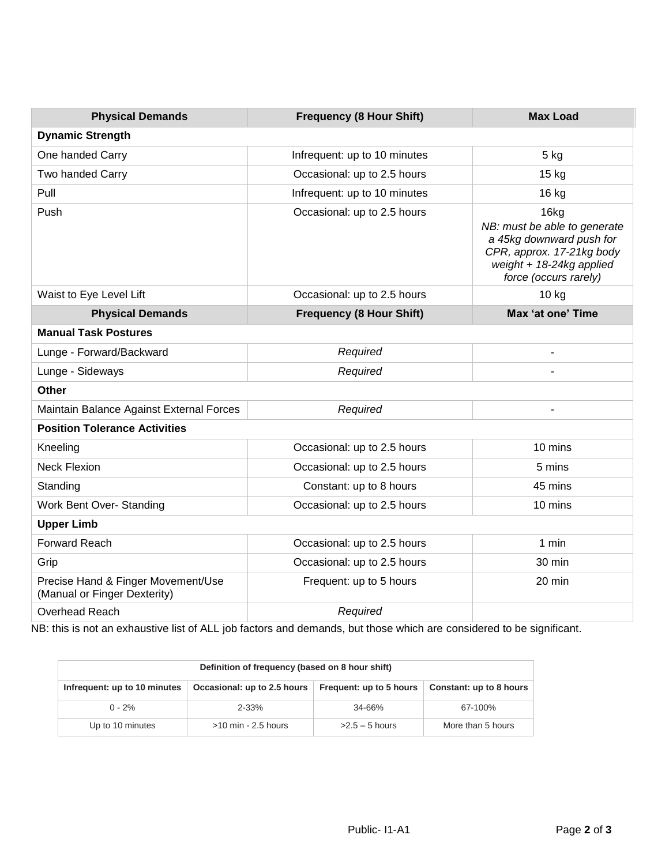| <b>Physical Demands</b>                                            | <b>Frequency (8 Hour Shift)</b> | <b>Max Load</b>                                                                                                                                      |  |  |
|--------------------------------------------------------------------|---------------------------------|------------------------------------------------------------------------------------------------------------------------------------------------------|--|--|
| <b>Dynamic Strength</b>                                            |                                 |                                                                                                                                                      |  |  |
| One handed Carry                                                   | Infrequent: up to 10 minutes    | 5 kg                                                                                                                                                 |  |  |
| Two handed Carry                                                   | Occasional: up to 2.5 hours     | 15 kg                                                                                                                                                |  |  |
| Pull                                                               | Infrequent: up to 10 minutes    | 16 kg                                                                                                                                                |  |  |
| Push                                                               | Occasional: up to 2.5 hours     | 16kg<br>NB: must be able to generate<br>a 45kg downward push for<br>CPR, approx. 17-21kg body<br>weight $+ 18-24kg$ applied<br>force (occurs rarely) |  |  |
| Waist to Eye Level Lift                                            | Occasional: up to 2.5 hours     | 10 kg                                                                                                                                                |  |  |
| <b>Physical Demands</b>                                            | <b>Frequency (8 Hour Shift)</b> | Max 'at one' Time                                                                                                                                    |  |  |
| <b>Manual Task Postures</b>                                        |                                 |                                                                                                                                                      |  |  |
| Lunge - Forward/Backward                                           | Required                        |                                                                                                                                                      |  |  |
| Lunge - Sideways                                                   | Required                        |                                                                                                                                                      |  |  |
| <b>Other</b>                                                       |                                 |                                                                                                                                                      |  |  |
| Maintain Balance Against External Forces                           | Required                        |                                                                                                                                                      |  |  |
| <b>Position Tolerance Activities</b>                               |                                 |                                                                                                                                                      |  |  |
| Kneeling                                                           | Occasional: up to 2.5 hours     | 10 mins                                                                                                                                              |  |  |
| <b>Neck Flexion</b>                                                | Occasional: up to 2.5 hours     | 5 mins                                                                                                                                               |  |  |
| Standing                                                           | Constant: up to 8 hours         | 45 mins                                                                                                                                              |  |  |
| Work Bent Over- Standing                                           | Occasional: up to 2.5 hours     | 10 mins                                                                                                                                              |  |  |
| <b>Upper Limb</b>                                                  |                                 |                                                                                                                                                      |  |  |
| <b>Forward Reach</b>                                               | Occasional: up to 2.5 hours     | 1 min                                                                                                                                                |  |  |
| Grip                                                               | Occasional: up to 2.5 hours     | 30 min                                                                                                                                               |  |  |
| Precise Hand & Finger Movement/Use<br>(Manual or Finger Dexterity) | Frequent: up to 5 hours         | 20 min                                                                                                                                               |  |  |
| Overhead Reach                                                     | Required                        |                                                                                                                                                      |  |  |

NB: this is not an exhaustive list of ALL job factors and demands, but those which are considered to be significant.

| Definition of frequency (based on 8 hour shift) |                             |                         |                         |
|-------------------------------------------------|-----------------------------|-------------------------|-------------------------|
| Infrequent: up to 10 minutes                    | Occasional: up to 2.5 hours | Frequent: up to 5 hours | Constant: up to 8 hours |
| $0 - 2%$                                        | $2 - 33%$                   | $34 - 66%$              | 67-100%                 |
| Up to 10 minutes                                | $>10$ min - 2.5 hours       | $>2.5-5$ hours          | More than 5 hours       |